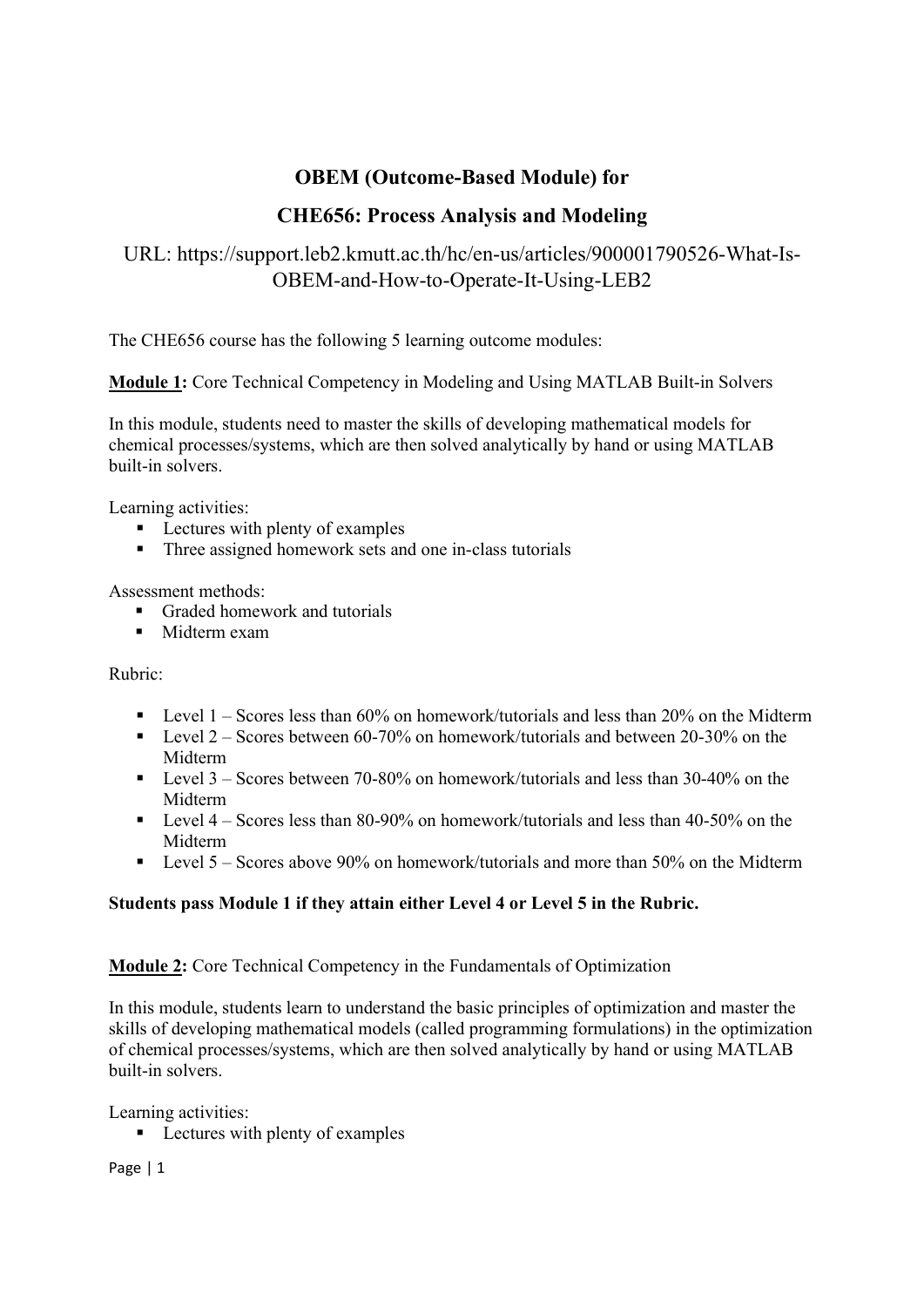## OBEM (Outcome-Based Module) for

## CHE656: Process Analysis and Modeling

# URL: https://support.leb2.kmutt.ac.th/hc/en-us/articles/900001790526-What-Is-OBEM-and-How-to-Operate-It-Using-LEB2

The CHE656 course has the following 5 learning outcome modules:

Module 1: Core Technical Competency in Modeling and Using MATLAB Built-in Solvers

In this module, students need to master the skills of developing mathematical models for chemical processes/systems, which are then solved analytically by hand or using MATLAB built-in solvers.

Learning activities:

- **Lectures with plenty of examples**
- Three assigned homework sets and one in-class tutorials

### Assessment methods:

- Graded homework and tutorials
- **Midterm exam**

Rubric:

- **Level 1** Scores less than 60% on homework/tutorials and less than 20% on the Midterm
- Evel 2 Scores between 60-70% on homework/tutorials and between 20-30% on the Midterm
- Level  $3 -$ Scores between 70-80% on homework/tutorials and less than 30-40% on the Midterm
- **Level 4** Scores less than 80-90% on homework/tutorials and less than 40-50% on the Midterm
- Level 5 Scores above 90% on homework/tutorials and more than 50% on the Midterm

## Students pass Module 1 if they attain either Level 4 or Level 5 in the Rubric.

### Module 2: Core Technical Competency in the Fundamentals of Optimization

In this module, students learn to understand the basic principles of optimization and master the skills of developing mathematical models (called programming formulations) in the optimization of chemical processes/systems, which are then solved analytically by hand or using MATLAB built-in solvers.

Learning activities:

■ Lectures with plenty of examples

Page | 1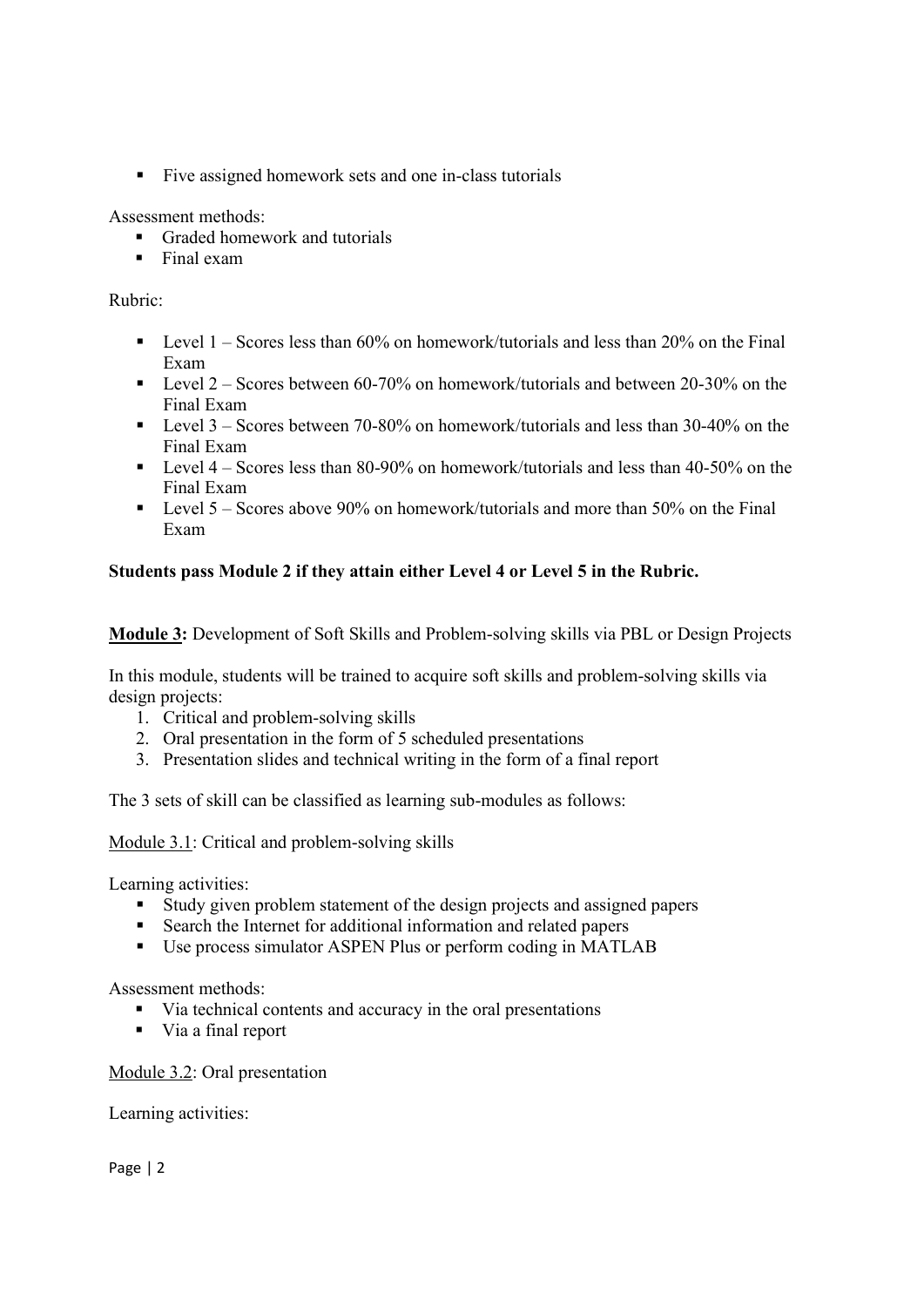Five assigned homework sets and one in-class tutorials

Assessment methods:

- Graded homework and tutorials
- $\blacksquare$  Final exam

Rubric:

- **Level 1** Scores less than 60% on homework/tutorials and less than 20% on the Final Exam
- Evel 2 Scores between 60-70% on homework/tutorials and between 20-30% on the Final Exam
- Evel  $3 -$  Scores between 70-80% on homework/tutorials and less than 30-40% on the Final Exam
- Evel  $4 -$  Scores less than 80-90% on homework/tutorials and less than 40-50% on the Final Exam
- Evel 5 Scores above 90% on homework/tutorials and more than 50% on the Final Exam

### Students pass Module 2 if they attain either Level 4 or Level 5 in the Rubric.

Module 3: Development of Soft Skills and Problem-solving skills via PBL or Design Projects

In this module, students will be trained to acquire soft skills and problem-solving skills via design projects:

- 1. Critical and problem-solving skills
- 2. Oral presentation in the form of 5 scheduled presentations
- 3. Presentation slides and technical writing in the form of a final report

The 3 sets of skill can be classified as learning sub-modules as follows:

Module 3.1: Critical and problem-solving skills

Learning activities:

- Study given problem statement of the design projects and assigned papers
- Search the Internet for additional information and related papers
- Use process simulator ASPEN Plus or perform coding in MATLAB

Assessment methods:

- via technical contents and accuracy in the oral presentations
- Via a final report

Module 3.2: Oral presentation

Learning activities:

Page | 2